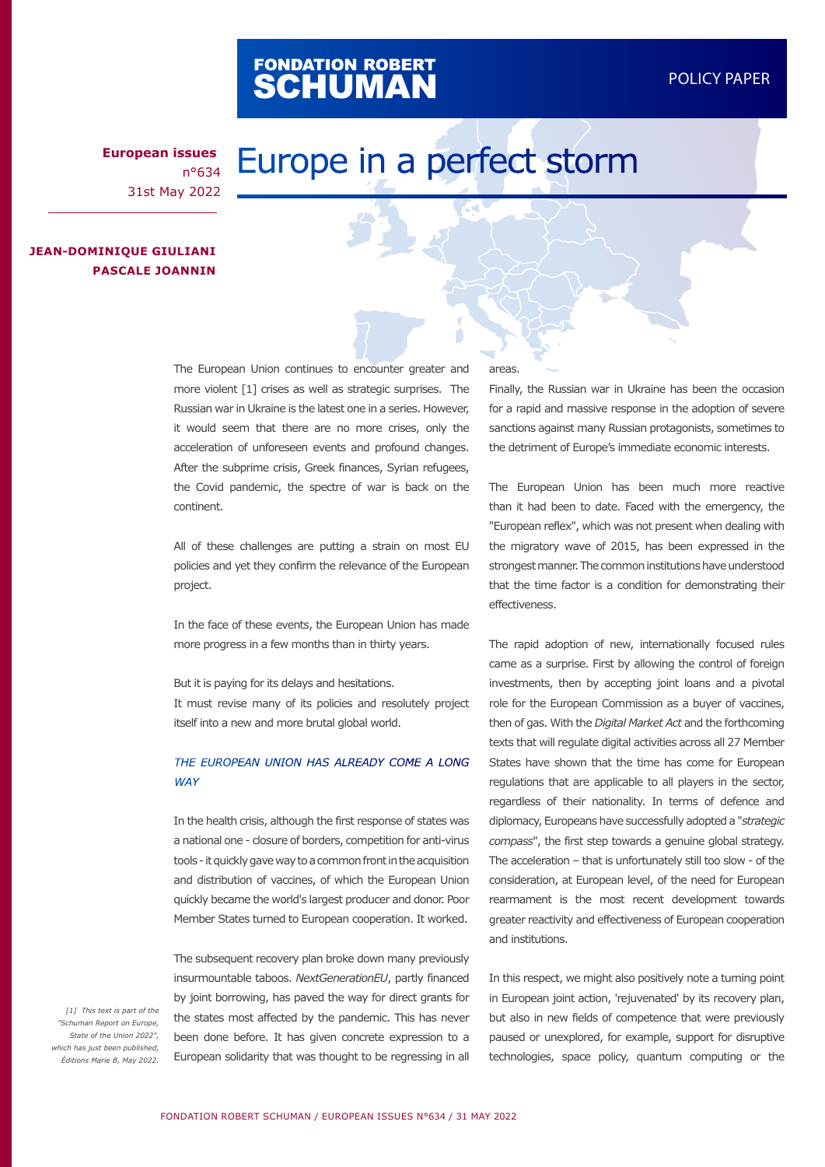# FONDATION ROBERT<br>**SCHUMAN**

**European issues** n°634 31st May 2022

# Europe in a perfect storm

# **JEAN-DOMINIQUE GIULIANI PASCALE JOANNIN**

The European Union continues to encounter greater and more violent [1] crises as well as strategic surprises. The Russian war in Ukraine is the latest one in a series. However, it would seem that there are no more crises, only the acceleration of unforeseen events and profound changes. After the subprime crisis, Greek finances, Syrian refugees, the Covid pandemic, the spectre of war is back on the continent.

All of these challenges are putting a strain on most EU policies and yet they confirm the relevance of the European project.

In the face of these events, the European Union has made more progress in a few months than in thirty years.

But it is paying for its delays and hesitations. It must revise many of its policies and resolutely project itself into a new and more brutal global world.

#### *THE EUROPEAN UNION HAS ALREADY COME A LONG WAY*

In the health crisis, although the first response of states was a national one - closure of borders, competition for anti-virus tools - it quickly gave way to a common front in the acquisition and distribution of vaccines, of which the European Union quickly became the world's largest producer and donor. Poor Member States turned to European cooperation. It worked.

The subsequent recovery plan broke down many previously insurmountable taboos. *NextGenerationEU*, partly financed by joint borrowing, has paved the way for direct grants for the states most affected by the pandemic. This has never been done before. It has given concrete expression to a European solidarity that was thought to be regressing in all

#### areas.

Finally, the Russian war in Ukraine has been the occasion for a rapid and massive response in the adoption of severe sanctions against many Russian protagonists, sometimes to the detriment of Europe's immediate economic interests.

The European Union has been much more reactive than it had been to date. Faced with the emergency, the "European reflex", which was not present when dealing with the migratory wave of 2015, has been expressed in the strongest manner. The common institutions have understood that the time factor is a condition for demonstrating their effectiveness.

The rapid adoption of new, internationally focused rules came as a surprise. First by allowing the control of foreign investments, then by accepting joint loans and a pivotal role for the European Commission as a buyer of vaccines, then of gas. With the *Digital Market Act* and the forthcoming texts that will regulate digital activities across all 27 Member States have shown that the time has come for European regulations that are applicable to all players in the sector, regardless of their nationality. In terms of defence and diplomacy, Europeans have successfully adopted a "*strategic compass*", the first step towards a genuine global strategy. The acceleration – that is unfortunately still too slow - of the consideration, at European level, of the need for European rearmament is the most recent development towards greater reactivity and effectiveness of European cooperation and institutions.

In this respect, we might also positively note a turning point in European joint action, 'rejuvenated' by its recovery plan, but also in new fields of competence that were previously paused or unexplored, for example, support for disruptive technologies, space policy, quantum computing or the

*[1] This text is part of the "Schuman Report on Europe, State of the Union 2022", which has just been published, Éditions Marie B, May 2022.*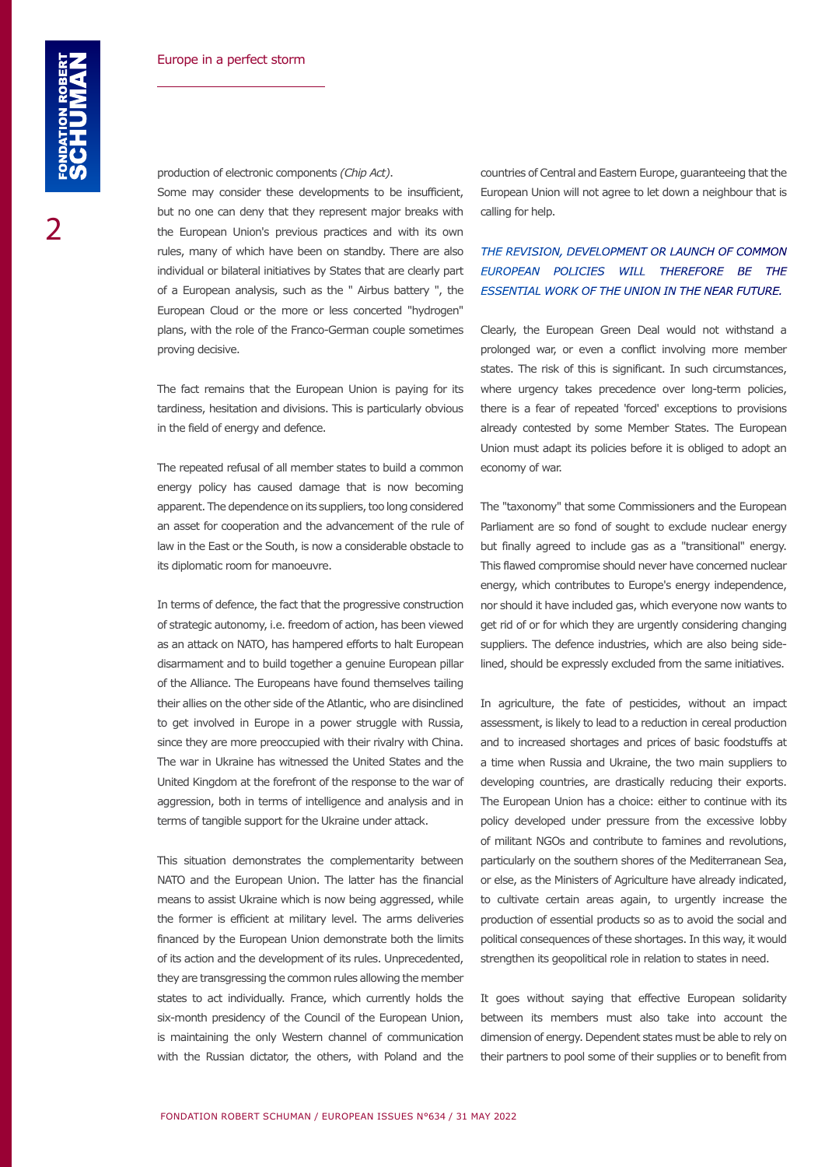Some may consider these developments to be insufficient, but no one can deny that they represent major breaks with the European Union's previous practices and with its own rules, many of which have been on standby. There are also individual or bilateral initiatives by States that are clearly part of a European analysis, such as the " Airbus battery ", the European Cloud or the more or less concerted "hydrogen" plans, with the role of the Franco-German couple sometimes proving decisive.

The fact remains that the European Union is paying for its tardiness, hesitation and divisions. This is particularly obvious in the field of energy and defence.

The repeated refusal of all member states to build a common energy policy has caused damage that is now becoming apparent. The dependence on its suppliers, too long considered an asset for cooperation and the advancement of the rule of law in the East or the South, is now a considerable obstacle to its diplomatic room for manoeuvre.

In terms of defence, the fact that the progressive construction of strategic autonomy, i.e. freedom of action, has been viewed as an attack on NATO, has hampered efforts to halt European disarmament and to build together a genuine European pillar of the Alliance. The Europeans have found themselves tailing their allies on the other side of the Atlantic, who are disinclined to get involved in Europe in a power struggle with Russia, since they are more preoccupied with their rivalry with China. The war in Ukraine has witnessed the United States and the United Kingdom at the forefront of the response to the war of aggression, both in terms of intelligence and analysis and in terms of tangible support for the Ukraine under attack.

This situation demonstrates the complementarity between NATO and the European Union. The latter has the financial means to assist Ukraine which is now being aggressed, while the former is efficient at military level. The arms deliveries financed by the European Union demonstrate both the limits of its action and the development of its rules. Unprecedented, they are transgressing the common rules allowing the member states to act individually. France, which currently holds the six-month presidency of the Council of the European Union, is maintaining the only Western channel of communication with the Russian dictator, the others, with Poland and the

countries of Central and Eastern Europe, guaranteeing that the European Union will not agree to let down a neighbour that is calling for help.

## **THE REVISION, DEVELOPMENT OR LAUNCH OF COMMON** *EUROPEAN POLICIES WILL THEREFORE BE THE ESSENTIAL WORK OF THE UNION IN THE NEAR FUTURE.*

Clearly, the European Green Deal would not withstand a prolonged war, or even a conflict involving more member states. The risk of this is significant. In such circumstances, where urgency takes precedence over long-term policies, there is a fear of repeated 'forced' exceptions to provisions already contested by some Member States. The European Union must adapt its policies before it is obliged to adopt an economy of war.

The "taxonomy" that some Commissioners and the European Parliament are so fond of sought to exclude nuclear energy but finally agreed to include gas as a "transitional" energy. This flawed compromise should never have concerned nuclear energy, which contributes to Europe's energy independence, nor should it have included gas, which everyone now wants to get rid of or for which they are urgently considering changing suppliers. The defence industries, which are also being sidelined, should be expressly excluded from the same initiatives.

In agriculture, the fate of pesticides, without an impact assessment, is likely to lead to a reduction in cereal production and to increased shortages and prices of basic foodstuffs at a time when Russia and Ukraine, the two main suppliers to developing countries, are drastically reducing their exports. The European Union has a choice: either to continue with its policy developed under pressure from the excessive lobby of militant NGOs and contribute to famines and revolutions, particularly on the southern shores of the Mediterranean Sea, or else, as the Ministers of Agriculture have already indicated, to cultivate certain areas again, to urgently increase the production of essential products so as to avoid the social and political consequences of these shortages. In this way, it would strengthen its geopolitical role in relation to states in need.

It goes without saying that effective European solidarity between its members must also take into account the dimension of energy. Dependent states must be able to rely on their partners to pool some of their supplies or to benefit from

2